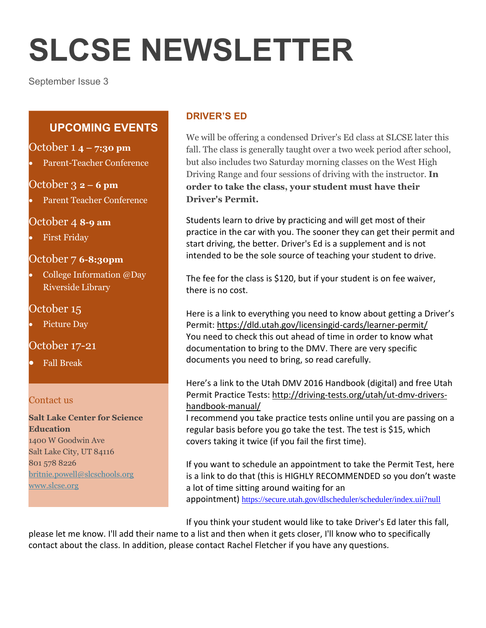# **SLCSE NEWSLETTER**

September Issue 3

## **UPCOMING EVENTS**

#### October 1 **4 – 7:30 pm**

Parent-Teacher Conference

#### October 3 **2 – 6 pm**

Parent Teacher Conference

### October 4 **8-9 am**

First Friday

### October 7 **6-8:30pm**

 College Information @Day Riverside Library

## October 15

Picture Day

## October 17-21

Fall Break

#### Contact us

**Salt Lake Center for Science Education** 1400 W Goodwin Ave Salt Lake City, UT 84116 801 578 8226 [britnie.powell@slcschools.org](mailto:britnie.powell@slcschools.org) [www.slcse.org](http://www.slcse.org/)

## **DRIVER'S ED**

We will be offering a condensed Driver's Ed class at SLCSE later this fall. The class is generally taught over a two week period after school, but also includes two Saturday morning classes on the West High Driving Range and four sessions of driving with the instructor. **In order to take the class, your student must have their Driver's Permit.**

Students learn to drive by practicing and will get most of their practice in the car with you. The sooner they can get their permit and start driving, the better. Driver's Ed is a supplement and is not intended to be the sole source of teaching your student to drive.

The fee for the class is \$120, but if your student is on fee waiver, there is no cost.

Here is a link to everything you need to know about getting a Driver's Permit: <https://dld.utah.gov/licensingid-cards/learner-permit/> You need to check this out ahead of time in order to know what documentation to bring to the DMV. There are very specific documents you need to bring, so read carefully.

Here's a link to the Utah DMV 2016 Handbook (digital) and free Utah Permit Practice Tests: [http://driving-tests.org/utah/ut-dmv-drivers](http://driving-tests.org/utah/ut-dmv-drivers-handbook-manual/)[handbook-manual/](http://driving-tests.org/utah/ut-dmv-drivers-handbook-manual/)

I recommend you take practice tests online until you are passing on a regular basis before you go take the test. The test is \$15, which covers taking it twice (if you fail the first time).

If you want to schedule an appointment to take the Permit Test, here is a link to do that (this is HIGHLY RECOMMENDED so you don't waste a lot of time sitting around waiting for an appointment) <https://secure.utah.gov/dlscheduler/scheduler/index.uii?null>

If you think your student would like to take Driver's Ed later this fall,

please let me know. I'll add their name to a list and then when it gets closer, I'll know who to specifically contact about the class. In addition, please contact Rachel Fletcher if you have any questions.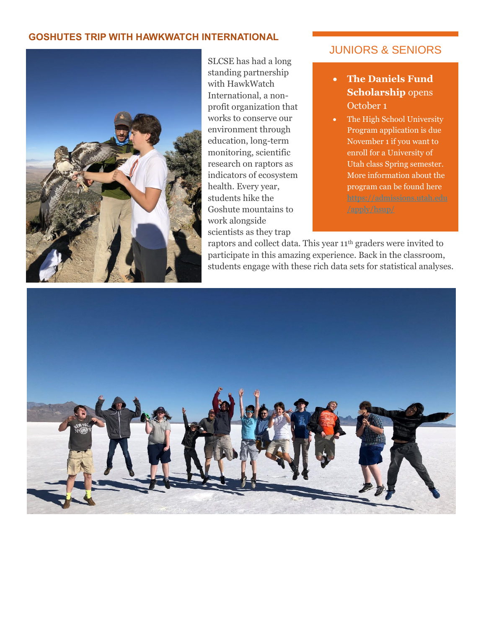#### **GOSHUTES TRIP WITH HAWKWATCH INTERNATIONAL**



SLCSE has had a long standing partnership with HawkWatch International, a nonprofit organization that works to conserve our environment through education, long-term monitoring, scientific research on raptors as indicators of ecosystem health. Every year, students hike the Goshute mountains to work alongside scientists as they trap

### JUNIORS & SENIORS

- **The Daniels Fund Scholarship** opens October 1
- The High School University Program application is due November 1 if you want to enroll for a University of Utah class Spring semester. More information about the program can be found here

raptors and collect data. This year 11<sup>th</sup> graders were invited to participate in this amazing experience. Back in the classroom, students engage with these rich data sets for statistical analyses.